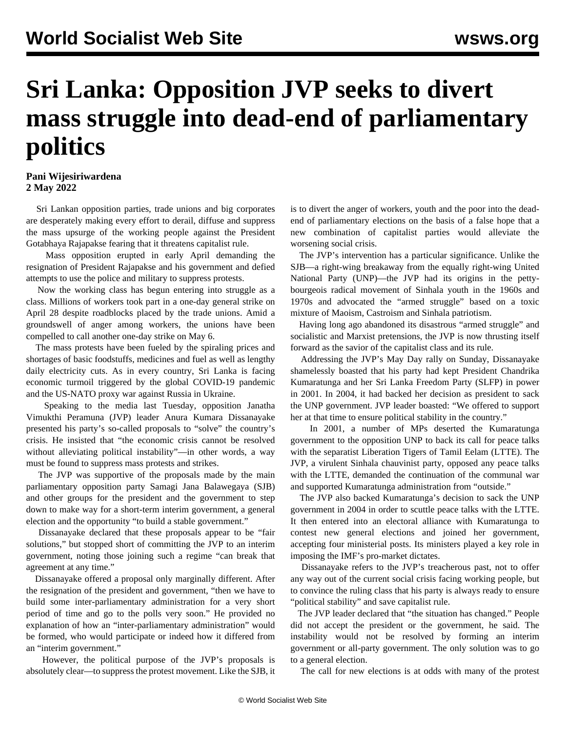## **Sri Lanka: Opposition JVP seeks to divert mass struggle into dead-end of parliamentary politics**

## **Pani Wijesiriwardena 2 May 2022**

 Sri Lankan opposition parties, trade unions and big corporates are desperately making every effort to derail, diffuse and suppress the mass upsurge of the working people against the President Gotabhaya Rajapakse fearing that it threatens capitalist rule.

 Mass opposition erupted in early April demanding the resignation of President Rajapakse and his government and defied attempts to use the police and military to suppress protests.

 Now the working class has begun entering into struggle as a class. Millions of workers took part in a one-day general strike on April 28 despite roadblocks placed by the trade unions. Amid a groundswell of anger among workers, the unions have been compelled to call another one-day strike on May 6.

 The mass protests have been fueled by the spiraling prices and shortages of basic foodstuffs, medicines and fuel as well as lengthy daily electricity cuts. As in every country, Sri Lanka is facing economic turmoil triggered by the global COVID-19 pandemic and the US-NATO proxy war against Russia in Ukraine.

 Speaking to the media last Tuesday, opposition Janatha Vimukthi Peramuna (JVP) leader Anura Kumara Dissanayake presented his party's so-called proposals to "solve" the country's crisis. He insisted that "the economic crisis cannot be resolved without alleviating political instability"—in other words, a way must be found to suppress mass protests and strikes.

 The JVP was supportive of the proposals made by the main parliamentary opposition party Samagi Jana Balawegaya (SJB) and other groups for the president and the government to step down to make way for a short-term interim government, a general election and the opportunity "to build a stable government."

 Dissanayake declared that these proposals appear to be "fair solutions," but stopped short of committing the JVP to an interim government, noting those joining such a regime "can break that agreement at any time."

 Dissanayake offered a proposal only marginally different. After the resignation of the president and government, "then we have to build some inter-parliamentary administration for a very short period of time and go to the polls very soon." He provided no explanation of how an "inter-parliamentary administration" would be formed, who would participate or indeed how it differed from an "interim government."

 However, the political purpose of the JVP's proposals is absolutely clear—to suppress the protest movement. Like the SJB, it is to divert the anger of workers, youth and the poor into the deadend of parliamentary elections on the basis of a false hope that a new combination of capitalist parties would alleviate the worsening social crisis.

 The JVP's intervention has a particular significance. Unlike the SJB—a right-wing breakaway from the equally right-wing United National Party (UNP)—the JVP had its origins in the pettybourgeois radical movement of Sinhala youth in the 1960s and 1970s and advocated the "armed struggle" based on a toxic mixture of Maoism, Castroism and Sinhala patriotism.

 Having long ago abandoned its disastrous "armed struggle" and socialistic and Marxist pretensions, the JVP is now thrusting itself forward as the savior of the capitalist class and its rule.

 Addressing the JVP's May Day rally on Sunday, Dissanayake shamelessly boasted that his party had kept President Chandrika Kumaratunga and her Sri Lanka Freedom Party (SLFP) in power in 2001. In 2004, it had backed her decision as president to sack the UNP government. JVP leader boasted: "We offered to support her at that time to ensure political stability in the country."

 In 2001, a number of MPs deserted the Kumaratunga government to the opposition UNP to back its call for peace talks with the separatist Liberation Tigers of Tamil Eelam (LTTE). The JVP, a virulent Sinhala chauvinist party, opposed any peace talks with the LTTE, demanded the continuation of the communal war and supported Kumaratunga administration from "outside."

 The JVP also backed Kumaratunga's decision to sack the UNP government in 2004 in order to scuttle peace talks with the LTTE. It then entered into an electoral alliance with Kumaratunga to contest new general elections and joined her government, accepting four ministerial posts. Its ministers played a key role in imposing the IMF's pro-market dictates.

 Dissanayake refers to the JVP's treacherous past, not to offer any way out of the current social crisis facing working people, but to convince the ruling class that his party is always ready to ensure "political stability" and save capitalist rule.

 The JVP leader declared that "the situation has changed." People did not accept the president or the government, he said. The instability would not be resolved by forming an interim government or all-party government. The only solution was to go to a general election.

The call for new elections is at odds with many of the protest